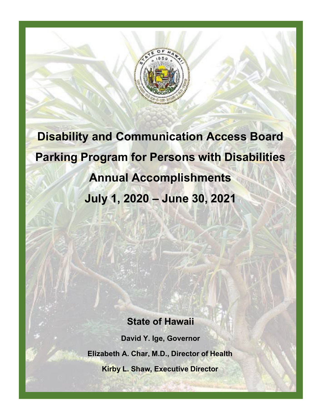

**Disability and Communication Access Board Parking Program for Persons with Disabilities Annual Accomplishments July 1, 2020 – June 30, 2021**

## **State of Hawaii**

**David Y. Ige, Governor Elizabeth A. Char, M.D., Director of Health Kirby L. Shaw, Executive Director**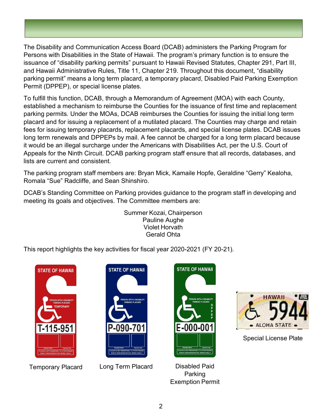The Disability and Communication Access Board (DCAB) administers the Parking Program for Persons with Disabilities in the State of Hawaii. The program's primary function is to ensure the issuance of "disability parking permits" pursuant to Hawaii Revised Statutes, Chapter 291, Part III, and Hawaii Administrative Rules, Title 11, Chapter 219. Throughout this document, "disability parking permit" means a long term placard, a temporary placard, Disabled Paid Parking Exemption Permit (DPPEP), or special license plates.

To fulfill this function, DCAB, through a Memorandum of Agreement (MOA) with each County, established a mechanism to reimburse the Counties for the issuance of first time and replacement parking permits. Under the MOAs, DCAB reimburses the Counties for issuing the initial long term placard and for issuing a replacement of a mutilated placard. The Counties may charge and retain fees for issuing temporary placards, replacement placards, and special license plates. DCAB issues long term renewals and DPPEPs by mail. A fee cannot be charged for a long term placard because it would be an illegal surcharge under the Americans with Disabilities Act, per the U.S. Court of Appeals for the Ninth Circuit. DCAB parking program staff ensure that all records, databases, and lists are current and consistent.

The parking program staff members are: Bryan Mick, Kamaile Hopfe, Geraldine "Gerry" Kealoha, Romala "Sue" Radcliffe, and Sean Shinshiro.

DCAB's Standing Committee on Parking provides guidance to the program staff in developing and meeting its goals and objectives. The Committee members are:

> Summer Kozai, Chairperson Pauline Aughe Violet Horvath Gerald Ohta

This report highlights the key activities for fiscal year 2020-2021 (FY 20-21).





Temporary Placard Long Term Placard Disabled Paid



Parking Exemption Permit



Special License Plate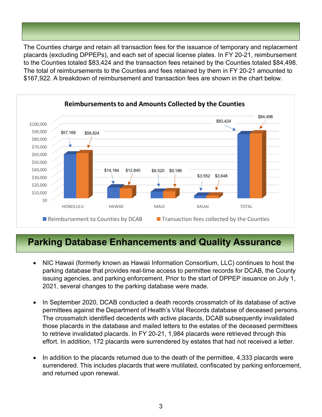The Counties charge and retain all transaction fees for the issuance of temporary and replacement placards (excluding DPPEPs), and each set of special license plates. In FY 20-21, reimbursement to the Counties totaled \$83,424 and the transaction fees retained by the Counties totaled \$84,498. The total of reimbursements to the Counties and fees retained by them in FY 20-21 amounted to \$167,922. A breakdown of reimbursement and transaction fees are shown in the chart below.



## **Parking Database Enhancements and Quality Assurance**

- NIC Hawaii (formerly known as Hawaii Information Consortium, LLC) continues to host the parking database that provides real-time access to permittee records for DCAB, the County issuing agencies, and parking enforcement. Prior to the start of DPPEP issuance on July 1, 2021, several changes to the parking database were made.
- In September 2020, DCAB conducted a death records crossmatch of its database of active permittees against the Department of Health's Vital Records database of deceased persons. The crossmatch identified decedents with active placards, DCAB subsequently invalidated those placards in the database and mailed letters to the estates of the deceased permittees to retrieve invalidated placards. In FY 20-21, 1,984 placards were retrieved through this effort. In addition, 172 placards were surrendered by estates that had not received a letter.
- In addition to the placards returned due to the death of the permittee, 4,333 placards were surrendered. This includes placards that were mutilated, confiscated by parking enforcement, and returned upon renewal.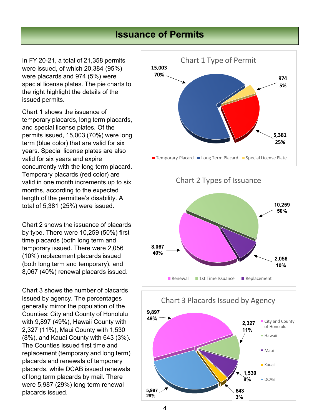## **Issuance of Permits**

In FY 20-21, a total of 21,358 permits were issued, of which 20,384 (95%) were placards and 974 (5%) were special license plates. The pie charts to the right highlight the details of the issued permits.

Chart 1 shows the issuance of temporary placards, long term placards, and special license plates. Of the permits issued, 15,003 (70%) were long term (blue color) that are valid for six years. Special license plates are also valid for six years and expire concurrently with the long term placard. Temporary placards (red color) are valid in one month increments up to six months, according to the expected length of the permittee's disability. A total of 5,381 (25%) were issued.

Chart 2 shows the issuance of placards by type. There were 10,259 (50%) first time placards (both long term and temporary issued. There were 2,056 (10%) replacement placards issued (both long term and temporary), and 8,067 (40%) renewal placards issued.

Chart 3 shows the number of placards issued by agency. The percentages generally mirror the population of the Counties: City and County of Honolulu with 9,897 (49%), Hawaii County with 2,327 (11%), Maui County with 1,530 (8%), and Kauai County with 643 (3%). The Counties issued first time and replacement (temporary and long term) placards and renewals of temporary placards, while DCAB issued renewals of long term placards by mail. There were 5,987 (29%) long term renewal placards issued.





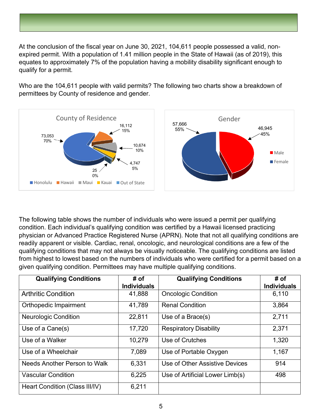At the conclusion of the fiscal year on June 30, 2021, 104,611 people possessed a valid, nonexpired permit. With a population of 1.41 million people in the State of Hawaii (as of 2019), this equates to approximately 7% of the population having a mobility disability significant enough to qualify for a permit.

Who are the 104,611 people with valid permits? The following two charts show a breakdown of permittees by County of residence and gender.



The following table shows the number of individuals who were issued a permit per qualifying condition. Each individual's qualifying condition was certified by a Hawaii licensed practicing physician or Advanced Practice Registered Nurse (APRN). Note that not all qualifying conditions are readily apparent or visible. Cardiac, renal, oncologic, and neurological conditions are a few of the qualifying conditions that may not always be visually noticeable. The qualifying conditions are listed from highest to lowest based on the numbers of individuals who were certified for a permit based on a given qualifying condition. Permittees may have multiple qualifying conditions.

| <b>Qualifying Conditions</b>   | # of<br><b>Individuals</b> | <b>Qualifying Conditions</b>    | # of<br><b>Individuals</b> |
|--------------------------------|----------------------------|---------------------------------|----------------------------|
|                                |                            |                                 |                            |
| <b>Arthritic Condition</b>     | 41,888                     | <b>Oncologic Condition</b>      | 6,110                      |
| Orthopedic Impairment          | 41,789                     | <b>Renal Condition</b>          | 3,864                      |
| <b>Neurologic Condition</b>    | 22,811                     | Use of a Brace(s)               | 2,711                      |
| Use of a Cane(s)               | 17,720                     | <b>Respiratory Disability</b>   | 2,371                      |
| Use of a Walker                | 10,279                     | Use of Crutches                 | 1,320                      |
| Use of a Wheelchair            | 7,089                      | Use of Portable Oxygen          | 1,167                      |
| Needs Another Person to Walk   | 6,331                      | Use of Other Assistive Devices  | 914                        |
| <b>Vascular Condition</b>      | 6,225                      | Use of Artificial Lower Limb(s) | 498                        |
| Heart Condition (Class III/IV) | 6,211                      |                                 |                            |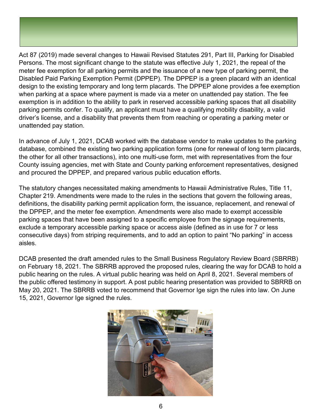Act 87 (2019) made several changes to Hawaii Revised Statutes 291, Part III, Parking for Disabled Persons. The most significant change to the statute was effective July 1, 2021, the repeal of the meter fee exemption for all parking permits and the issuance of a new type of parking permit, the Disabled Paid Parking Exemption Permit (DPPEP). The DPPEP is a green placard with an identical design to the existing temporary and long term placards. The DPPEP alone provides a fee exemption when parking at a space where payment is made via a meter on unattended pay station. The fee exemption is in addition to the ability to park in reserved accessible parking spaces that all disability parking permits confer. To qualify, an applicant must have a qualifying mobility disability, a valid driver's license, and a disability that prevents them from reaching or operating a parking meter or unattended pay station.

In advance of July 1, 2021, DCAB worked with the database vendor to make updates to the parking database, combined the existing two parking application forms (one for renewal of long term placards, the other for all other transactions), into one multi-use form, met with representatives from the four County issuing agencies, met with State and County parking enforcement representatives, designed and procured the DPPEP, and prepared various public education efforts.

The statutory changes necessitated making amendments to Hawaii Administrative Rules, Title 11, Chapter 219. Amendments were made to the rules in the sections that govern the following areas, definitions, the disability parking permit application form, the issuance, replacement, and renewal of the DPPEP, and the meter fee exemption. Amendments were also made to exempt accessible parking spaces that have been assigned to a specific employee from the signage requirements, exclude a temporary accessible parking space or access aisle (defined as in use for 7 or less consecutive days) from striping requirements, and to add an option to paint "No parking" in access aisles.

DCAB presented the draft amended rules to the Small Business Regulatory Review Board (SBRRB) on February 18, 2021. The SBRRB approved the proposed rules, clearing the way for DCAB to hold a public hearing on the rules. A virtual public hearing was held on April 8, 2021. Several members of the public offered testimony in support. A post public hearing presentation was provided to SBRRB on May 20, 2021. The SBRRB voted to recommend that Governor Ige sign the rules into law. On June 15, 2021, Governor Ige signed the rules.

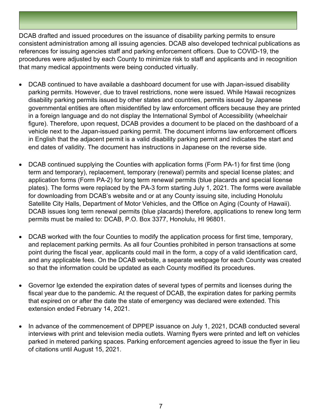DCAB drafted and issued procedures on the issuance of disability parking permits to ensure consistent administration among all issuing agencies. DCAB also developed technical publications as references for issuing agencies staff and parking enforcement officers. Due to COVID-19, the procedures were adjusted by each County to minimize risk to staff and applicants and in recognition that many medical appointments were being conducted virtually.

- DCAB continued to have available a dashboard document for use with Japan-issued disability parking permits. However, due to travel restrictions, none were issued. While Hawaii recognizes disability parking permits issued by other states and countries, permits issued by Japanese governmental entities are often misidentified by law enforcement officers because they are printed in a foreign language and do not display the International Symbol of Accessibility (wheelchair figure). Therefore, upon request, DCAB provides a document to be placed on the dashboard of a vehicle next to the Japan-issued parking permit. The document informs law enforcement officers in English that the adjacent permit is a valid disability parking permit and indicates the start and end dates of validity. The document has instructions in Japanese on the reverse side.
- DCAB continued supplying the Counties with application forms (Form PA-1) for first time (long term and temporary), replacement, temporary (renewal) permits and special license plates; and application forms (Form PA-2) for long term renewal permits (blue placards and special license plates). The forms were replaced by the PA-3 form starting July 1, 2021. The forms were available for downloading from DCAB's website and or at any County issuing site, including Honolulu Satellite City Halls, Department of Motor Vehicles, and the Office on Aging (County of Hawaii). DCAB issues long term renewal permits (blue placards) therefore, applications to renew long term permits must be mailed to: DCAB, P.O. Box 3377, Honolulu, HI 96801.
- DCAB worked with the four Counties to modify the application process for first time, temporary, and replacement parking permits. As all four Counties prohibited in person transactions at some point during the fiscal year, applicants could mail in the form, a copy of a valid identification card, and any applicable fees. On the DCAB website, a separate webpage for each County was created so that the information could be updated as each County modified its procedures.
- Governor Ige extended the expiration dates of several types of permits and licenses during the fiscal year due to the pandemic. At the request of DCAB, the expiration dates for parking permits that expired on or after the date the state of emergency was declared were extended. This extension ended February 14, 2021.
- In advance of the commencement of DPPEP issuance on July 1, 2021, DCAB conducted several interviews with print and television media outlets. Warning flyers were printed and left on vehicles parked in metered parking spaces. Parking enforcement agencies agreed to issue the flyer in lieu of citations until August 15, 2021.